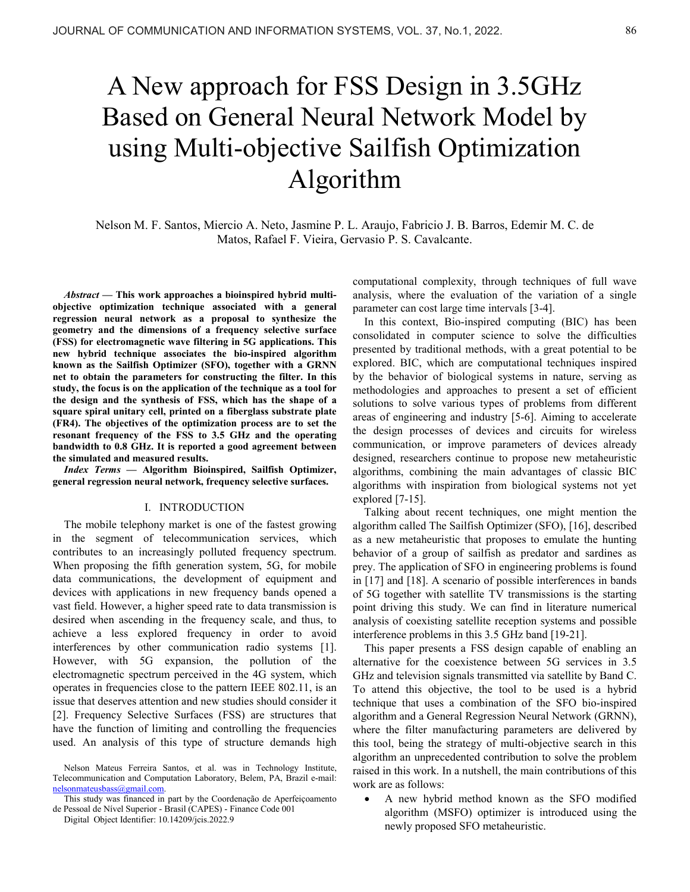# A New approach for FSS Design in 3.5GHz Based on General Neural Network Model by using Multi-objective Sailfish Optimization Algorithm

Nelson M. F. Santos, Miercio A. Neto, Jasmine P. L. Araujo, Fabricio J. B. Barros, Edemir M. C. de Matos, Rafael F. Vieira, Gervasio P. S. Cavalcante.

*Abstract* — This work approaches a bioinspired hybrid multiobjective optimization technique associated with a general regression neural network as a proposal to synthesize the geometry and the dimensions of a frequency selective surface (FSS) for electromagnetic wave filtering in 5G applications. This new hybrid technique associates the bio-inspired algorithm known as the Sailfish Optimizer (SFO), together with a GRNN net to obtain the parameters for constructing the filter. In this study, the focus is on the application of the technique as a tool for the design and the synthesis of FSS, which has the shape of a square spiral unitary cell, printed on a fiberglass substrate plate (FR4). The objectives of the optimization process are to set the resonant frequency of the FSS to 3.5 GHz and the operating bandwidth to 0.8 GHz. It is reported a good agreement between the simulated and measured results.

*Index Terms* — Algorithm Bioinspired, Sailfish Optimizer, general regression neural network, frequency selective surfaces.

#### I. INTRODUCTION

The mobile telephony market is one of the fastest growing in the segment of telecommunication services, which contributes to an increasingly polluted frequency spectrum. When proposing the fifth generation system, 5G, for mobile data communications, the development of equipment and devices with applications in new frequency bands opened a vast field. However, a higher speed rate to data transmission is desired when ascending in the frequency scale, and thus, to achieve a less explored frequency in order to avoid interferences by other communication radio systems [1]. However, with 5G expansion, the pollution of the electromagnetic spectrum perceived in the 4G system, which operates in frequencies close to the pattern IEEE 802.11, is an issue that deserves attention and new studies should consider it [2]. Frequency Selective Surfaces (FSS) are structures that have the function of limiting and controlling the frequencies used. An analysis of this type of structure demands high

Digital Object Identifier: 10.14209/jcis.2022.9

computational complexity, through techniques of full wave analysis, where the evaluation of the variation of a single parameter can cost large time intervals [3-4].

In this context, Bio-inspired computing (BIC) has been consolidated in computer science to solve the difficulties presented by traditional methods, with a great potential to be explored. BIC, which are computational techniques inspired by the behavior of biological systems in nature, serving as methodologies and approaches to present a set of efficient solutions to solve various types of problems from different areas of engineering and industry [5-6]. Aiming to accelerate the design processes of devices and circuits for wireless communication, or improve parameters of devices already designed, researchers continue to propose new metaheuristic algorithms, combining the main advantages of classic BIC algorithms with inspiration from biological systems not yet explored [7-15].

Talking about recent techniques, one might mention the algorithm called The Sailfish Optimizer (SFO), [16], described as a new metaheuristic that proposes to emulate the hunting behavior of a group of sailfish as predator and sardines as prey. The application of SFO in engineering problems is found in [17] and [18]. A scenario of possible interferences in bands of 5G together with satellite TV transmissions is the starting point driving this study. We can find in literature numerical analysis of coexisting satellite reception systems and possible interference problems in this 3.5 GHz band [19-21].

This paper presents a FSS design capable of enabling an alternative for the coexistence between 5G services in 3.5 GHz and television signals transmitted via satellite by Band C. To attend this objective, the tool to be used is a hybrid technique that uses a combination of the SFO bio-inspired algorithm and a General Regression Neural Network (GRNN), where the filter manufacturing parameters are delivered by this tool, being the strategy of multi-objective search in this algorithm an unprecedented contribution to solve the problem raised in this work. In a nutshell, the main contributions of this work are as follows:

 A new hybrid method known as the SFO modified algorithm (MSFO) optimizer is introduced using the newly proposed SFO metaheuristic.

Nelson Mateus Ferreira Santos, et al. was in Technology Institute, Telecommunication and Computation Laboratory, Belem, PA, Brazil e-mail: nelsonmateusbass@gmail.com.

This study was financed in part by the Coordenação de Aperfeiçoamento de Pessoal de Nível Superior - Brasil (CAPES) - Finance Code 001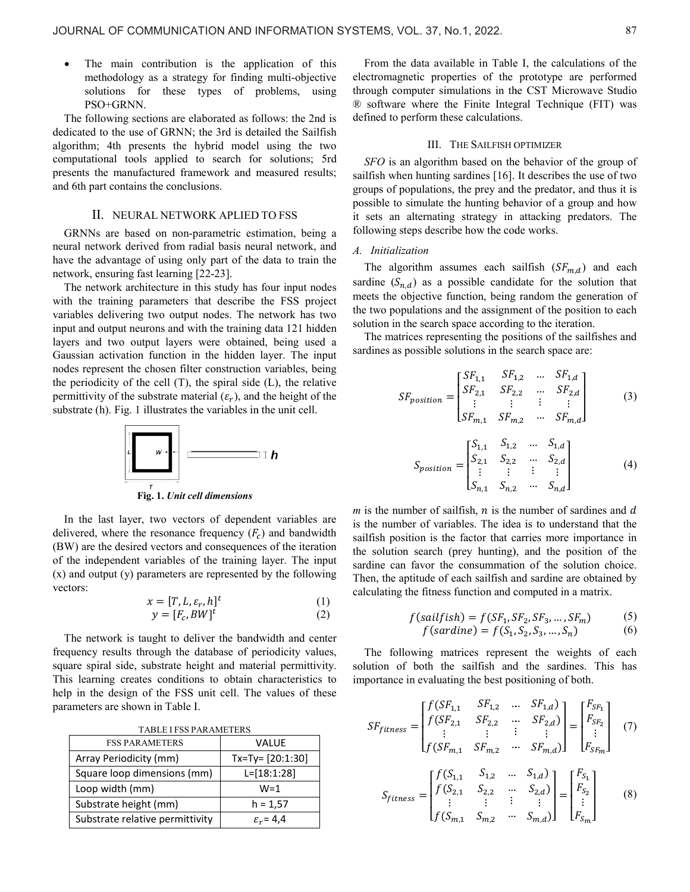• The main contribution is the application of this methodology as a strategy for finding multi-objective solutions for these types of problems, using PSO+GRNN.

The following sections are elaborated as follows: the 2nd is dedicated to the use of GRNN; the 3rd is detailed the Sailfish algorithm; 4th presents the hybrid model using the two computational tools applied to search for solutions; 5rd presents the manufactured framework and measured results; and 6th part contains the conclusions.

# II. NEURAL NETWORK APLIED TO FSS

GRNNs are based on non-parametric estimation, being a neural network derived from radial basis neural network, and have the advantage of using only part of the data to train the network, ensuring fast learning [22-23].

The network architecture in this study has four input nodes with the training parameters that describe the FSS project variables delivering two output nodes. The network has two input and output neurons and with the training data 121 hidden layers and two output layers were obtained, being used a Gaussian activation function in the hidden layer. The input nodes represent the chosen filter construction variables, being the periodicity of the cell (T), the spiral side (L), the relative permittivity of the substrate material  $(\varepsilon_r)$ , and the height of the substrate (h). Fig. 1 illustrates the variables in the unit cell.



In the last layer, two vectors of dependent variables are delivered, where the resonance frequency  $(F_c)$  and bandwidth (BW) are the desired vectors and consequences of the iteration of the independent variables of the training layer. The input (x) and output (y) parameters are represented by the following vectors:

$$
x = [T, L, \varepsilon_r, h]^t
$$
  
\n
$$
y = [F_c, BW]^t
$$
\n(1)  
\n(2)

The network is taught to deliver the bandwidth and center frequency results through the database of periodicity values, square spiral side, substrate height and material permittivity. This learning creates conditions to obtain characteristics to help in the design of the FSS unit cell. The values of these parameters are shown in Table I.

| I ABLE I FSS PAKAME I EKS       |                       |
|---------------------------------|-----------------------|
| <b>FSS PARAMETERS</b>           | VALUE                 |
| Array Periodicity (mm)          | Tx=Ty= [20:1:30]      |
| Square loop dimensions (mm)     | $L=[18:1:28]$         |
| Loop width (mm)                 | $W=1$                 |
| Substrate height (mm)           | $h = 1,57$            |
| Substrate relative permittivity | $\varepsilon_r$ = 4,4 |

TABLE I FSS PARAMETERS

From the data available in Table I, the calculations of the electromagnetic properties of the prototype are performed through computer simulations in the CST Microwave Studio ® software where the Finite Integral Technique (FIT) was defined to perform these calculations.

### III. THE SAILFISH OPTIMIZER

*SFO* is an algorithm based on the behavior of the group of sailfish when hunting sardines  $[16]$ . It describes the use of two groups of populations, the prey and the predator, and thus it is possible to simulate the hunting behavior of a group and how it sets an alternating strategy in attacking predators. The following steps describe how the code works.

## *A. Initialization*

The algorithm assumes each sailfish  $(SF_{m,d})$  and each sardine  $(S_{n,d})$  as a possible candidate for the solution that meets the objective function, being random the generation of the two populations and the assignment of the position to each solution in the search space according to the iteration.

lution in the search space according to the iteration.<br>The matrices representing the positions of the sailfishes and sardines as possible solutions in the search space are:

$$
SF_{position} = \begin{bmatrix} SF_{1,1} & SF_{1,2} & \dots & SF_{1,d} \\ SF_{2,1} & SF_{2,2} & \dots & SF_{2,d} \\ \vdots & \vdots & \vdots & \vdots \\ SF_{m,1} & SF_{m,2} & \dots & SF_{m,d} \end{bmatrix}
$$
 (3)

$$
S_{position} = \begin{bmatrix} S_{1,1} & S_{1,2} & \dots & S_{1,d} \\ S_{2,1} & S_{2,2} & \dots & S_{2,d} \\ \vdots & \vdots & \vdots & \vdots \\ S_{n,1} & S_{n,2} & \dots & S_{n,d} \end{bmatrix}
$$
 (4)

 $m$  is the number of sailfish,  $n$  is the number of sardines and  $d$ is the number of variables. The idea is to understand that the sailfish position is the factor that carries more importance in the solution search (prey hunting), and the position of the sardine can favor the consummation of the solution choice. Then, the aptitude of each sailfish and sardine are obtained by calculating the fitness function and computed in a matrix.

$$
f(sailfish) = f(SF_1, SF_2, SF_3, ..., SF_m)
$$
 (5)  

$$
f(sardine) = f(S_1, S_2, S_3, ..., S_n)
$$
 (6)

The following matrices represent the weights of each solution of both the sailfish and the sardines. This has importance in evaluating the best positioning of both. best positioning

$$
SF_{fitness} = \begin{bmatrix} f(SF_{1,1} & SF_{1,2} & \dots & SF_{1,d}) \\ f(SF_{2,1} & SF_{2,2} & \dots & SF_{2,d}) \\ \vdots & \vdots & \vdots & \vdots \\ f(SF_{m,1} & SF_{m,2} & \dots & SF_{m,d}) \end{bmatrix} = \begin{bmatrix} F_{SF_1} \\ F_{SF_2} \\ \vdots \\ F_{SF_m} \end{bmatrix} \quad (7)
$$

$$
S_{fitness} = \begin{bmatrix} f(S_{1,1} & S_{1,2} & \dots & S_{1,d}) \\ f(S_{2,1} & S_{2,2} & \dots & S_{2,d}) \\ \vdots & \vdots & \vdots & \vdots \\ f(S_{m,1} & S_{m,2} & \dots & S_{m,d}) \end{bmatrix} = \begin{bmatrix} F_{S_1} \\ F_{S_2} \\ \vdots \\ F_{S_m} \end{bmatrix} \quad (8)
$$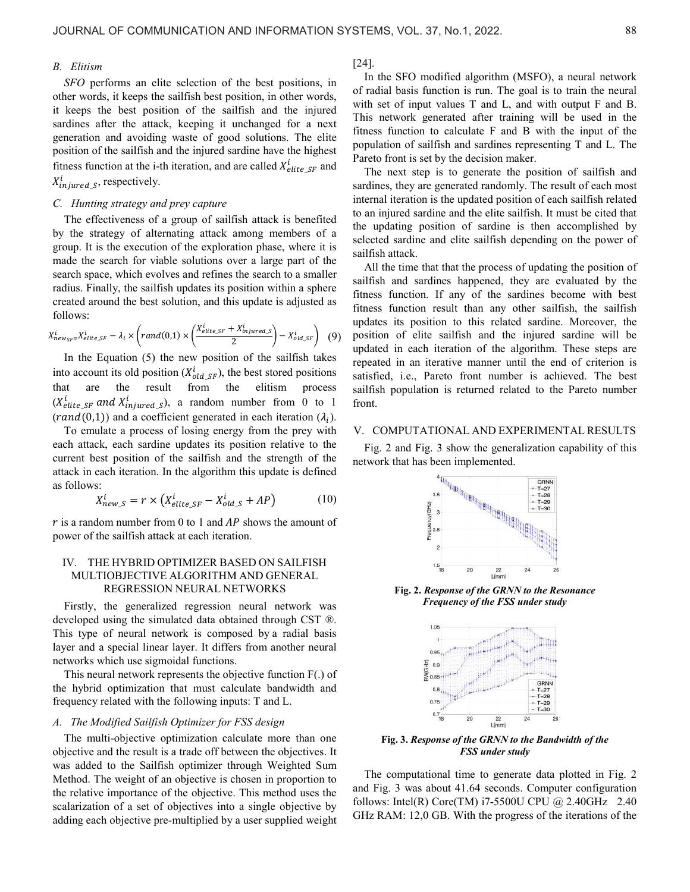### *B. Elitism*

*SFO* performs an elite selection of the best positions, in other words, it keeps the sailfish best position, in other words, it keeps the best position of the sailfish and the injured sardines after the attack, keeping it unchanged for a next generation and avoiding waste of good solutions. The elite position of the sailfish and the injured sardine have the highest fitness function at the i-th iteration, and are called  $X_{elite\_SF}^i$  and  $X_{in\,jured_S}^i$ , respectively.

## *C. Hunting strategy and prey capture*

The effectiveness of a group of sailfish attack is benefited by the strategy of alternating attack among members of a group. It is the execution of the exploration phase, where it is made the search for viable solutions over a large part of the search space, which evolves and refines the search to a smaller radius. Finally, the sailfish updates its position within a sphere created around the best solution, and this update is adjusted as follows:

$$
X_{new_{SF}}^i = X_{elite\_SF}^i - \lambda_i \times \left( rand(0,1) \times \left( \frac{X_{elite\_SF}^i + X_{injured\_S}^i}{2} \right) - X_{old\_SF}^i \right) \tag{9}
$$

In the Equation (5) the new position of the sailfish takes into account its old position  $(X_{old\_SF}^i)$ , the best stored positions that are the result from the elitism process  $(X_{elite\_SF}^i$  and  $X_{injured\_S}^i$ , a random number from 0 to 1  $(rand(0,1))$  and a coefficient generated in each iteration  $(\lambda_i)$ .

To emulate a process of losing energy from the prey with each attack, each sardine updates its position relative to the current best position of the sailfish and the strength of the attack in each iteration. In the algorithm this update is defined as follows:

$$
X_{new\_S}^i = r \times \left(X_{elite\_SF}^i - X_{old\_S}^i + AP\right) \tag{10}
$$

r is a random number from 0 to 1 and  $AP$  shows the amount of power of the sailfish attack at each iteration.

## IV. THE HYBRID OPTIMIZER BASED ON SAILFISH MULTIOBJECTIVE ALGORITHM AND GENERAL REGRESSION NEURAL NETWORKS

Firstly, the generalized regression neural network was developed using the simulated data obtained through CST ®. This type of neural network is composed by a radial basis layer and a special linear layer. It differs from another neural networks which use sigmoidal functions.

This neural network represents the objective function F(.) of the hybrid optimization that must calculate bandwidth and frequency related with the following inputs: T and L.

## *A. The Modified Sailfish Optimizer for FSS design*

The multi-objective optimization calculate more than one objective and the result is a trade off between the objectives. It was added to the Sailfish optimizer through Weighted Sum Method. The weight of an objective is chosen in proportion to the relative importance of the objective. This method uses the scalarization of a set of objectives into a single objective by adding each objective pre-multiplied by a user supplied weight

[24].

In the SFO modified algorithm (MSFO), a neural network of radial basis function is run. The goal is to train the neural with set of input values T and L, and with output F and B. This network generated after training will be used in the fitness function to calculate F and B with the input of the population of sailfish and sardines representing T and L. The Pareto front is set by the decision maker.

The next step is to generate the position of sailfish and sardines, they are generated randomly. The result of each most internal iteration is the updated position of each sailfish related to an injured sardine and the elite sailfish. It must be cited that the updating position of sardine is then accomplished by selected sardine and elite sailfish depending on the power of sailfish attack.

All the time that that the process of updating the position of sailfish and sardines happened, they are evaluated by the fitness function. If any of the sardines become with best fitness function result than any other sailfish, the sailfish updates its position to this related sardine. Moreover, the position of elite sailfish and the injured sardine will be updated in each iteration of the algorithm. These steps are repeated in an iterative manner until the end of criterion is satisfied, i.e., Pareto front number is achieved. The best sailfish population is returned related to the Pareto number front.

#### V. COMPUTATIONAL AND EXPERIMENTAL RESULTS

Fig. 2 and Fig. 3 show the generalization capability of this network that has been implemented.



Fig. 2. *Response of the GRNN to the Resonance Frequency of the FSS under study*



Fig. 3. *Response of the GRNN to the Bandwidth of the FSS under study*

The computational time to generate data plotted in Fig. 2 and Fig. 3 was about 41.64 seconds. Computer configuration follows: Intel(R) Core(TM)  $i7-5500U$  CPU @ 2.40GHz 2.40 GHz RAM: 12,0 GB. With the progress of the iterations of the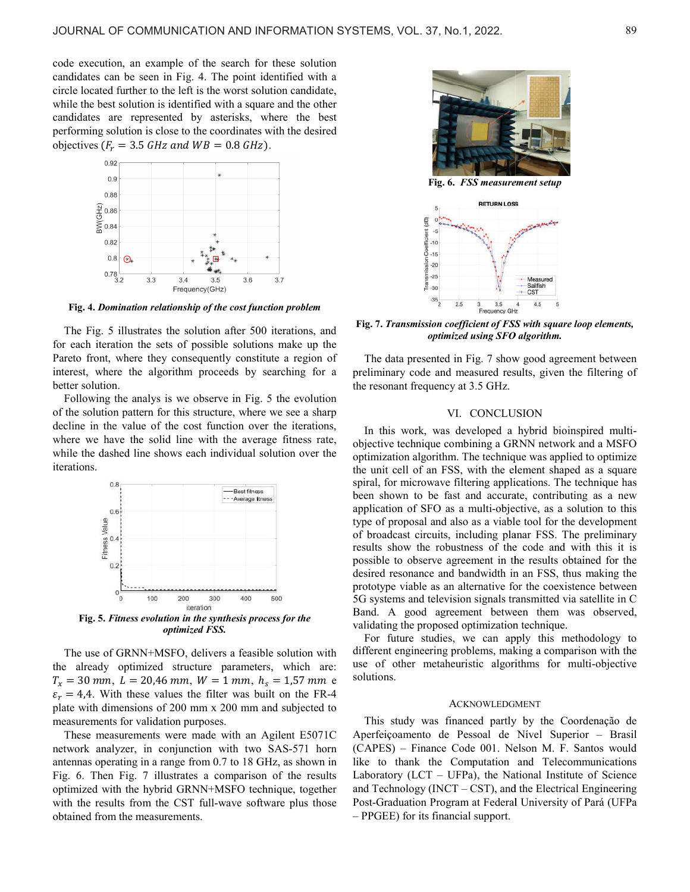code execution, an example of the search for these solution candidates can be seen in Fig. 4. The point identified with a circle located further to the left is the worst solution candidate, while the best solution is identified with a square and the other candidates are represented by asterisks, where the best performing solution is close to the coordinates with the desired objectives ( $F_r = 3.5$  GHz and  $WB = 0.8$  GHz).



Fig. 4. *Domination relationship of the cost function problem*

The Fig. 5 illustrates the solution after 500 iterations, and for each iteration the sets of possible solutions make up the Pareto front, where they consequently constitute a region of interest, where the algorithm proceeds by searching for a better solution.

Following the analys is we observe in Fig. 5 the evolution of the solution pattern for this structure, where we see a sharp decline in the value of the cost function over the iterations, where we have the solid line with the average fitness rate, while the dashed line shows each individual solution over the iterations.



The use of GRNN+MSFO, delivers a feasible solution with the already optimized structure parameters, which are:  $T_x = 30$  mm,  $L = 20,46$  mm,  $W = 1$  mm,  $h_s = 1,57$  mm e  $\varepsilon_r = 4.4$ . With these values the filter was built on the FR-4 plate with dimensions of 200 mm x 200 mm and subjected to measurements for validation purposes.

These measurements were made with an Agilent E5071C twork analyzer, in conjunction with two SAS-571 horn network analyzer, in conjunction with two SAS antennas operating in a range from 0.7 to 18 GHz, as shown in Fig. 6. Then Fig. 7 illustrates a comparison of the results optimized with the hybrid GRNN+MSFO technique, together with the results from the CST full-wave software plus those obtained from the measurements.



Fig. 7. *Transmission coefficient of FSS with square loop elements, square algorithm. optimized using SFO algorithm*

The data presented in Fig. 7 show good agreement between preliminary code and measured results, given the filtering of the resonant frequency at 3.5 GHz.

## VI. CONCLUSION

**Example 19 Example 19 Example 19 Example 19 Example 19 Example 19 Example 19 Example 19 Example 19 Example 19 Example 19 Example 19 Example 19 Example 19 Example 19 Example 19 Example 19** VI. CONCLUSION<br>In this work, was developed a hybrid bioinspired multiobjective technique combining a GRNN network and a MSFO optimization algorithm. The technique was applied to optimize the unit cell of an FSS, with the element shaped as a square spiral, for microwave filtering applications. The technique has been shown to be fast and accurate, contributing as a new application of SFO as a multi-objective, as a solution to this application of SFO as a multi-objective, as a solution to this type of proposal and also as a viable tool for the development of broadcast circuits, including planar FSS. The preliminary results show the robustness of the code and with this it is results show the robustness of the code and with this it is possible to observe agreement in the results obtained for the desired resonance and bandwidth in an FSS, thus making the prototype viable as an alternative for the coexistence between 5G systems and television signals transmitted via satellite in C<br>Band. A good agreement between them was observed, Band. A good agreement between them was observed, validating the proposed optimization technique.

For future studies, we can apply this methodology to different engineering problems, making a comparison with the use of other metaheuristic algorithms for multi-objective solutions.

#### ACKNOWLEDGMENT

This study was financed partly by the Coordenação de ACKNOWLEDGMENT<br>This study was financed partly by the Coordenação de<br>Aperfeiçoamento de Pessoal de Nível Superior – Brasil (CAPES) - Finance Code 001. Nelson M. F. Santos would like to thank the Computation and Telecommunications Laboratory  $(ICT - UFPa)$ , the National Institute of Science and Technology (INCT – CST), and the Electrical Engineering Post-Graduation Program at Federal University of Pará (UFPa – PPGEE) for its financial support.